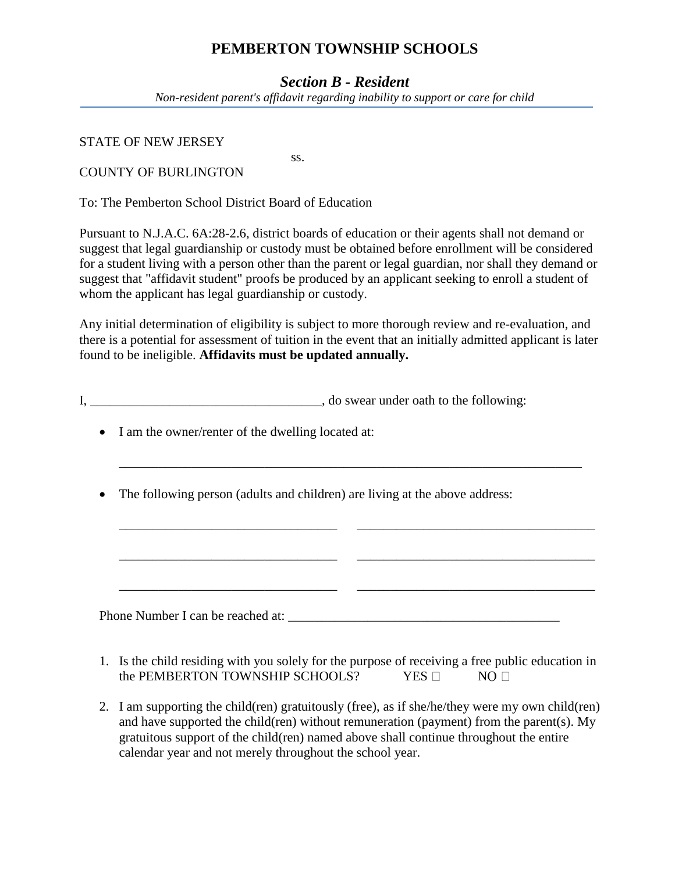## **PEMBERTON TOWNSHIP SCHOOLS**

#### *Section B - Resident*

*Non-resident parent's affidavit regarding inability to support or care for child*

STATE OF NEW JERSEY

ss. COUNTY OF BURLINGTON

To: The Pemberton School District Board of Education

Pursuant to N.J.A.C. 6A:28-2.6, district boards of education or their agents shall not demand or suggest that legal guardianship or custody must be obtained before enrollment will be considered for a student living with a person other than the parent or legal guardian, nor shall they demand or suggest that "affidavit student" proofs be produced by an applicant seeking to enroll a student of whom the applicant has legal guardianship or custody.

Any initial determination of eligibility is subject to more thorough review and re-evaluation, and there is a potential for assessment of tuition in the event that an initially admitted applicant is later found to be ineligible. **Affidavits must be updated annually.**

\_\_\_\_\_\_\_\_\_\_\_\_\_\_\_\_\_\_\_\_\_\_\_\_\_\_\_\_\_\_\_\_\_\_\_\_\_\_\_\_\_\_\_\_\_\_\_\_\_\_\_\_\_\_\_\_\_\_\_\_\_\_\_\_\_\_\_\_\_\_

\_\_\_\_\_\_\_\_\_\_\_\_\_\_\_\_\_\_\_\_\_\_\_\_\_\_\_\_\_\_\_\_\_ \_\_\_\_\_\_\_\_\_\_\_\_\_\_\_\_\_\_\_\_\_\_\_\_\_\_\_\_\_\_\_\_\_\_\_\_

\_\_\_\_\_\_\_\_\_\_\_\_\_\_\_\_\_\_\_\_\_\_\_\_\_\_\_\_\_\_\_\_\_ \_\_\_\_\_\_\_\_\_\_\_\_\_\_\_\_\_\_\_\_\_\_\_\_\_\_\_\_\_\_\_\_\_\_\_\_

\_\_\_\_\_\_\_\_\_\_\_\_\_\_\_\_\_\_\_\_\_\_\_\_\_\_\_\_\_\_\_\_\_ \_\_\_\_\_\_\_\_\_\_\_\_\_\_\_\_\_\_\_\_\_\_\_\_\_\_\_\_\_\_\_\_\_\_\_\_

I, \_\_\_\_\_\_\_\_\_\_\_\_\_\_\_\_\_\_\_\_\_\_\_\_\_\_\_\_\_\_\_\_, do swear under oath to the following:

- I am the owner/renter of the dwelling located at:
- The following person (adults and children) are living at the above address:

Phone Number I can be reached at:

- 1. Is the child residing with you solely for the purpose of receiving a free public education in the PEMBERTON TOWNSHIP SCHOOLS? YES  $\neg$  NO  $\neg$
- 2. I am supporting the child(ren) gratuitously (free), as if she/he/they were my own child(ren) and have supported the child(ren) without remuneration (payment) from the parent(s). My gratuitous support of the child(ren) named above shall continue throughout the entire calendar year and not merely throughout the school year.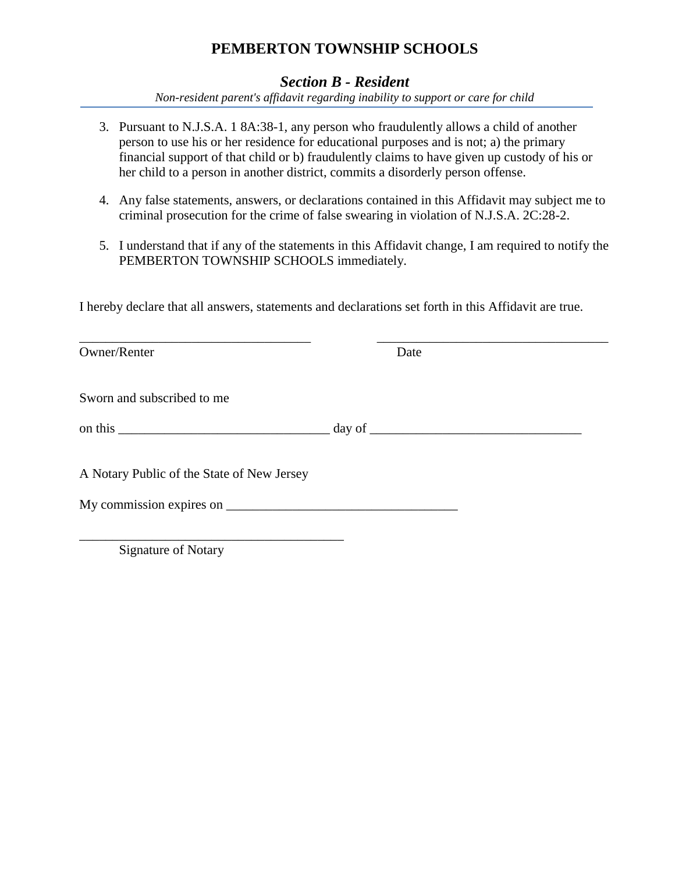# **PEMBERTON TOWNSHIP SCHOOLS**

## *Section B - Resident*

*Non-resident parent's affidavit regarding inability to support or care for child*

- 3. Pursuant to N.J.S.A. 1 8A:38-1, any person who fraudulently allows a child of another person to use his or her residence for educational purposes and is not; a) the primary financial support of that child or b) fraudulently claims to have given up custody of his or her child to a person in another district, commits a disorderly person offense.
- 4. Any false statements, answers, or declarations contained in this Affidavit may subject me to criminal prosecution for the crime of false swearing in violation of N.J.S.A. 2C:28-2.
- 5. I understand that if any of the statements in this Affidavit change, I am required to notify the PEMBERTON TOWNSHIP SCHOOLS immediately.

I hereby declare that all answers, statements and declarations set forth in this Affidavit are true.

| Owner/Renter                               | Date |  |
|--------------------------------------------|------|--|
| Sworn and subscribed to me                 |      |  |
|                                            |      |  |
| A Notary Public of the State of New Jersey |      |  |
|                                            |      |  |
|                                            |      |  |

Signature of Notary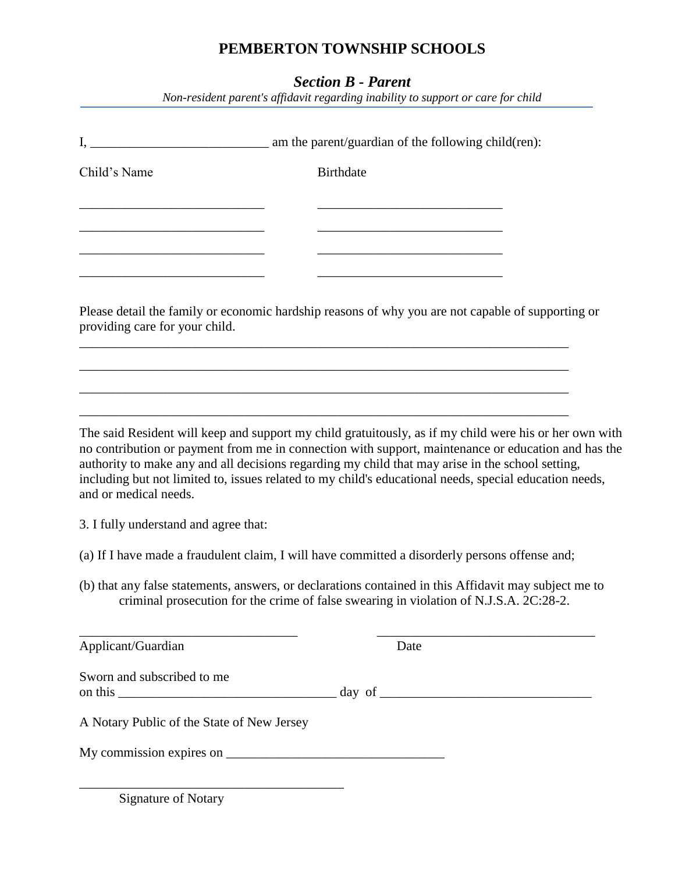# **PEMBERTON TOWNSHIP SCHOOLS**

## *Section B - Parent*

*Non-resident parent's affidavit regarding inability to support or care for child*

| Child's Name                               | <b>Birthdate</b>                                                                                                                                                                                                                                                                                                                                                                                                            |  |  |
|--------------------------------------------|-----------------------------------------------------------------------------------------------------------------------------------------------------------------------------------------------------------------------------------------------------------------------------------------------------------------------------------------------------------------------------------------------------------------------------|--|--|
|                                            |                                                                                                                                                                                                                                                                                                                                                                                                                             |  |  |
| providing care for your child.             | <u> 1980 - Jan James James Barbara, martxa eta idazlea (</u><br>Please detail the family or economic hardship reasons of why you are not capable of supporting or                                                                                                                                                                                                                                                           |  |  |
|                                            |                                                                                                                                                                                                                                                                                                                                                                                                                             |  |  |
| and or medical needs.                      | The said Resident will keep and support my child gratuitously, as if my child were his or her own with<br>no contribution or payment from me in connection with support, maintenance or education and has the<br>authority to make any and all decisions regarding my child that may arise in the school setting,<br>including but not limited to, issues related to my child's educational needs, special education needs, |  |  |
| 3. I fully understand and agree that:      |                                                                                                                                                                                                                                                                                                                                                                                                                             |  |  |
|                                            | (a) If I have made a fraudulent claim, I will have committed a disorderly persons offense and;                                                                                                                                                                                                                                                                                                                              |  |  |
|                                            | (b) that any false statements, answers, or declarations contained in this Affidavit may subject me to<br>criminal prosecution for the crime of false swearing in violation of N.J.S.A. 2C:28-2.                                                                                                                                                                                                                             |  |  |
| Applicant/Guardian                         | Date                                                                                                                                                                                                                                                                                                                                                                                                                        |  |  |
| Sworn and subscribed to me                 |                                                                                                                                                                                                                                                                                                                                                                                                                             |  |  |
| A Notary Public of the State of New Jersey |                                                                                                                                                                                                                                                                                                                                                                                                                             |  |  |
|                                            |                                                                                                                                                                                                                                                                                                                                                                                                                             |  |  |
|                                            |                                                                                                                                                                                                                                                                                                                                                                                                                             |  |  |

Signature of Notary